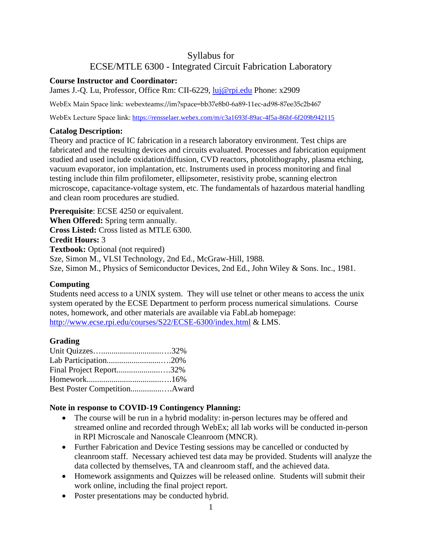# Syllabus for ECSE/MTLE 6300 - Integrated Circuit Fabrication Laboratory

#### **Course Instructor and Coordinator:**

James J.-Q. Lu, Professor, Office Rm: CII-6229, [luj@rpi.edu](mailto:luj@rpi.edu) Phone: x2909

WebEx Main Space link: webexteams://im?space=bb37e8b0-6a89-11ec-ad98-87ee35c2b467

WebEx Lecture Space link: <https://rensselaer.webex.com/m/c3a1693f-89ac-4f5a-86bf-6f209b942115>

#### **Catalog Description:**

Theory and practice of IC fabrication in a research laboratory environment. Test chips are fabricated and the resulting devices and circuits evaluated. Processes and fabrication equipment studied and used include oxidation/diffusion, CVD reactors, photolithography, plasma etching, vacuum evaporator, ion implantation, etc. Instruments used in process monitoring and final testing include thin film profilometer, ellipsometer, resistivity probe, scanning electron microscope, capacitance-voltage system, etc. The fundamentals of hazardous material handling and clean room procedures are studied.

**Prerequisite**: ECSE 4250 or equivalent. **When Offered:** Spring term annually. **Cross Listed:** Cross listed as MTLE 6300. **Credit Hours:** 3 **Textbook:** Optional (not required) Sze, Simon M., VLSI Technology, 2nd Ed., McGraw-Hill, 1988. Sze, Simon M., Physics of Semiconductor Devices, 2nd Ed., John Wiley & Sons. Inc., 1981.

# **Computing**

Students need access to a UNIX system. They will use telnet or other means to access the unix system operated by the ECSE Department to perform process numerical simulations. Course notes, homework, and other materials are available via FabLab homepage: <http://www.ecse.rpi.edu/courses/S22/ECSE-6300/index.html> & LMS.

# **Grading**

| Final Project Report32%      |  |
|------------------------------|--|
|                              |  |
| Best Poster CompetitionAward |  |

# **Note in response to COVID-19 Contingency Planning:**

- The course will be run in a hybrid modality: in-person lectures may be offered and streamed online and recorded through WebEx; all lab works will be conducted in-person in RPI Microscale and Nanoscale Cleanroom (MNCR).
- Further Fabrication and Device Testing sessions may be cancelled or conducted by cleanroom staff. Necessary achieved test data may be provided. Students will analyze the data collected by themselves, TA and cleanroom staff, and the achieved data.
- Homework assignments and Quizzes will be released online. Students will submit their work online, including the final project report.
- Poster presentations may be conducted hybrid.